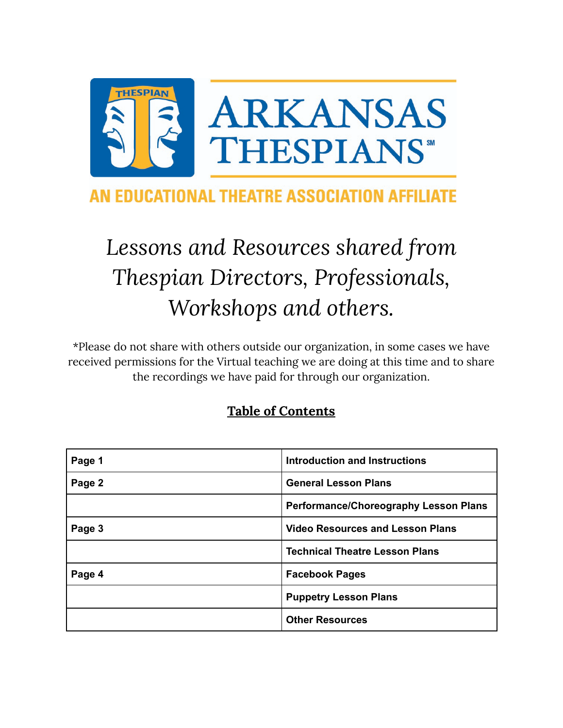

# AN EDUCATIONAL THEATRE ASSOCIATION AFFILIATE

# *Lessons and Resources shared from Thespian Directors, Professionals, Workshops and others.*

\*Please do not share with others outside our organization, in some cases we have received permissions for the Virtual teaching we are doing at this time and to share the recordings we have paid for through our organization.

## **Table of Contents**

| Page 1 | Introduction and Instructions                |
|--------|----------------------------------------------|
| Page 2 | <b>General Lesson Plans</b>                  |
|        | <b>Performance/Choreography Lesson Plans</b> |
| Page 3 | <b>Video Resources and Lesson Plans</b>      |
|        | <b>Technical Theatre Lesson Plans</b>        |
| Page 4 | <b>Facebook Pages</b>                        |
|        | <b>Puppetry Lesson Plans</b>                 |
|        | <b>Other Resources</b>                       |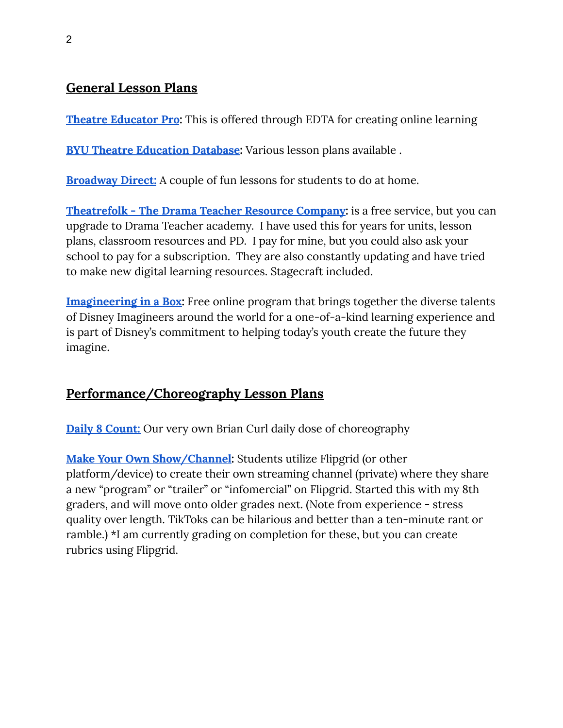### **General Lesson Plans**

**Theatre [Educator](https://learn.schooltheatre.org/resources-for-creating-online-learning) Pro:** This is offered through EDTA for creating online learning

**BYU Theatre [Education](http://tedb.byu.edu/) Database:** Various lesson plans available .

**[Broadway](https://broadwaydirect.com/broadway-themed-activites-to-do-at-home/?utm_medium=email&utm_source=marketingcloud&utm_campaign=BD375&mcid=dk1aOFpyaVFZUUs1aEphbmhxK01ieSt5cXBENG5BQVU=) Direct:** A couple of fun lessons for students to do at home.

**[Theatrefolk](https://www.theatrefolk.com/) - The Drama Teacher Resource Company:** is a free service, but you can upgrade to Drama Teacher academy. I have used this for years for units, lesson plans, classroom resources and PD. I pay for mine, but you could also ask your school to pay for a subscription. They are also constantly updating and have tried to make new digital learning resources. Stagecraft included.

**[Imagineering](https://disneyparks.disney.go.com/blog/2019/08/walt-disney-imagineering-partners-with-khan-academy-to-bring-you-imagineering-in-a-box/?fbclid=IwAR2iQCN3C6AZStKAvreVIGtK-G6R6mubPTcacgtvkTEcfqEA7Tx2tF10jow) in a Box:** Free online program that brings together the diverse talents of Disney Imagineers around the world for a one-of-a-kind learning experience and is part of Disney's commitment to helping today's youth create the future they imagine.

#### **Performance/Choreography Lesson Plans**

**Daily 8 [Count:](https://www.daily8count.com/home)** Our very own Brian Curl daily dose of choreography

**Make Your Own [Show/Channel:](https://docs.google.com/document/d/1EkPb26IzwJS9_3VWlBGXML3RzvUClM15LHO_E3L8Gj4/edit?usp=sharing)** Students utilize Flipgrid (or other platform/device) to create their own streaming channel (private) where they share a new "program" or "trailer" or "infomercial" on Flipgrid. Started this with my 8th graders, and will move onto older grades next. (Note from experience - stress quality over length. TikToks can be hilarious and better than a ten-minute rant or ramble.) \*I am currently grading on completion for these, but you can create rubrics using Flipgrid.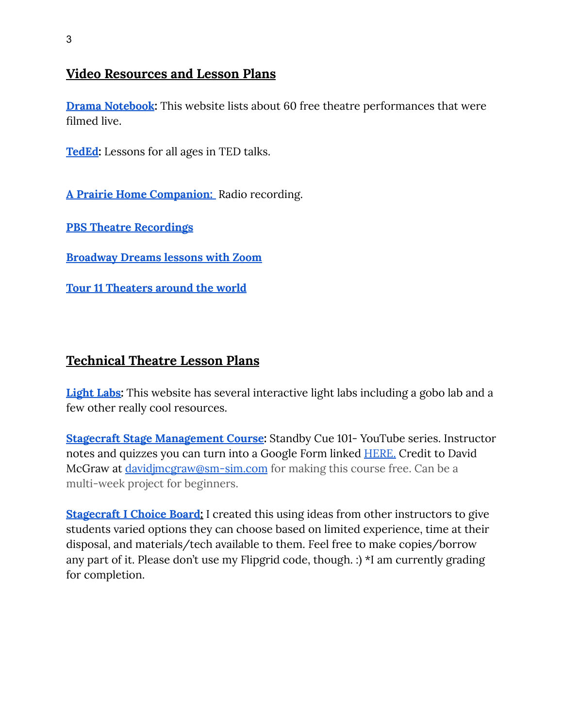#### **Video Resources and Lesson Plans**

**Drama [Notebook](https://www.dramanotebook.com/watch-free-plays-online/):** This website lists about 60 free theatre performances that were filmed live.

**[TedEd](https://ed.ted.com/):** Lessons for all ages in TED talks.

**A Prairie Home [Companion:](https://www.prairiehome.org/about/history.html)** Radio recording.

**PBS Theatre [Recordings](https://ca.pbslearningmedia.org/subjects/the-arts/theater/)**

**[Broadway](https://www.playbill.com/article/noah-ricketts-ryann-redmond-more-team-up-with-broadway-dreams-for-daily-free-arts-training) Dreams lessons with Zoom**

**Tour 11 [Theaters](https://artsandculture.google.com/theme/11-dramatic-virtual-tours-of-stages-around-the-world/1gJiszMqltReJA?hl=en&fbclid=IwAR3RHU9JLtOjigFOgQrcTy2vShY3hrRcOOoQfSOGwSAnBLEzv2PiK7LUrCY) around the world**

### **Technical Theatre Lesson Plans**

**[Light](http://scenicandlighting.com/academic/light-labs-and-more/) Labs:** This website has several interactive light labs including a gobo lab and a few other really cool resources.

**Stagecraft Stage [Management](https://youtu.be/zUw1qI9NK38?list=PLN-OjYMEaB0kDCAkG-hbl7AshPykLrLA8) Course:** Standby Cue 101- YouTube series. Instructor notes and quizzes you can turn into a Google Form linked **HERE**. Credit to David McGraw at [davidjmcgraw@sm-sim.com](mailto:davidjmcgraw@sm-sim.com) for making this course free. Can be a multi-week project for beginners.

**[Stagecraft](https://docs.google.com/document/d/1wcceMqpX4jldx4wncMCc3ODaO4OX1C_Cu-OyjqBI17E/edit?usp=sharing) I Choice Board:** I created this using ideas from other instructors to give students varied options they can choose based on limited experience, time at their disposal, and materials/tech available to them. Feel free to make copies/borrow any part of it. Please don't use my Flipgrid code, though. :) \*I am currently grading for completion.